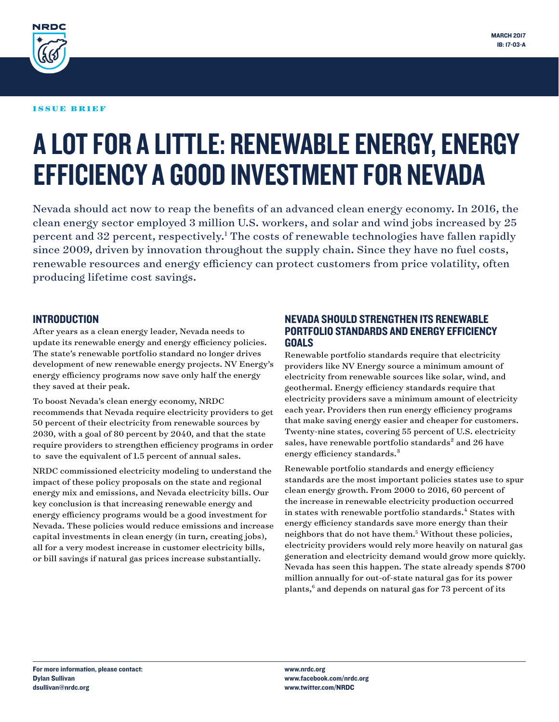

#### ISSUE BRIEF

# A LOT FOR A LITTLE: RENEWABLE ENERGY, ENERGY EFFICIENCY A GOOD INVESTMENT FOR NEVADA

Nevada should act now to reap the benefits of an advanced clean energy economy. In 2016, the clean energy sector employed 3 million U.S. workers, and solar and wind jobs increased by 25 percent and 32 percent, respectively.<sup>1</sup> The costs of renewable technologies have fallen rapidly since 2009, driven by innovation throughout the supply chain. Since they have no fuel costs, renewable resources and energy efficiency can protect customers from price volatility, often producing lifetime cost savings.

#### INTRODUCTION

After years as a clean energy leader, Nevada needs to update its renewable energy and energy efficiency policies. The state's renewable portfolio standard no longer drives development of new renewable energy projects. NV Energy's energy efficiency programs now save only half the energy they saved at their peak.

To boost Nevada's clean energy economy, NRDC recommends that Nevada require electricity providers to get 50 percent of their electricity from renewable sources by 2030, with a goal of 80 percent by 2040, and that the state require providers to strengthen efficiency programs in order to save the equivalent of 1.5 percent of annual sales.

NRDC commissioned electricity modeling to understand the impact of these policy proposals on the state and regional energy mix and emissions, and Nevada electricity bills. Our key conclusion is that increasing renewable energy and energy efficiency programs would be a good investment for Nevada. These policies would reduce emissions and increase capital investments in clean energy (in turn, creating jobs), all for a very modest increase in customer electricity bills, or bill savings if natural gas prices increase substantially.

#### NEVADA SHOULD STRENGTHEN ITS RENEWABLE PORTFOLIO STANDARDS AND ENERGY EFFICIENCY GOALS

Renewable portfolio standards require that electricity providers like NV Energy source a minimum amount of electricity from renewable sources like solar, wind, and geothermal. Energy efficiency standards require that electricity providers save a minimum amount of electricity each year. Providers then run energy efficiency programs that make saving energy easier and cheaper for customers. Twenty-nine states, covering 55 percent of U.S. electricity sales, have renewable portfolio standards<sup>2</sup> and 26 have energy efficiency standards.<sup>3</sup>

Renewable portfolio standards and energy efficiency standards are the most important policies states use to spur clean energy growth. From 2000 to 2016, 60 percent of the increase in renewable electricity production occurred in states with renewable portfolio standards.<sup>4</sup> States with energy efficiency standards save more energy than their neighbors that do not have them.<sup>5</sup> Without these policies, electricity providers would rely more heavily on natural gas generation and electricity demand would grow more quickly. Nevada has seen this happen. The state already spends \$700 million annually for out-of-state natural gas for its power plants,<sup>6</sup> and depends on natural gas for 73 percent of its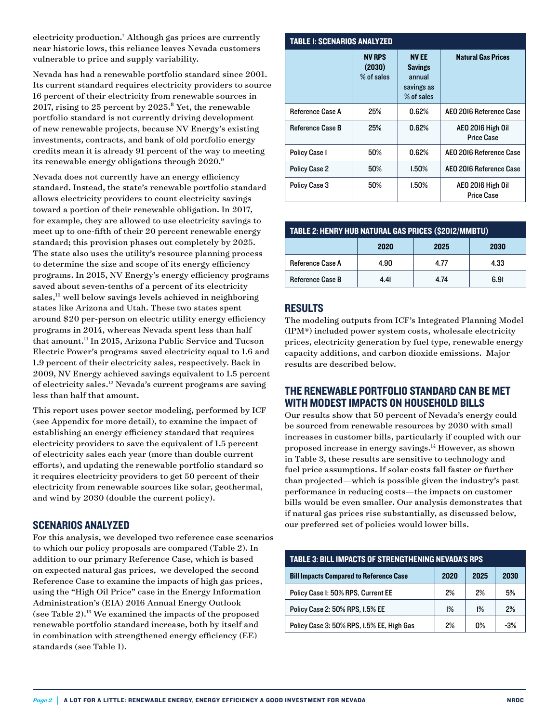electricity production.7 Although gas prices are currently near historic lows, this reliance leaves Nevada customers vulnerable to price and supply variability.

Nevada has had a renewable portfolio standard since 2001. Its current standard requires electricity providers to source 16 percent of their electricity from renewable sources in 2017, rising to 25 percent by  $2025.$ <sup>8</sup> Yet, the renewable portfolio standard is not currently driving development of new renewable projects, because NV Energy's existing investments, contracts, and bank of old portfolio energy credits mean it is already 91 percent of the way to meeting its renewable energy obligations through 2020.<sup>9</sup>

Nevada does not currently have an energy efficiency standard. Instead, the state's renewable portfolio standard allows electricity providers to count electricity savings toward a portion of their renewable obligation. In 2017, for example, they are allowed to use electricity savings to meet up to one-fifth of their 20 percent renewable energy standard; this provision phases out completely by 2025. The state also uses the utility's resource planning process to determine the size and scope of its energy efficiency programs. In 2015, NV Energy's energy efficiency programs saved about seven-tenths of a percent of its electricity sales,<sup>10</sup> well below savings levels achieved in neighboring states like Arizona and Utah. These two states spent around \$20 per-person on electric utility energy efficiency programs in 2014, whereas Nevada spent less than half that amount.11 In 2015, Arizona Public Service and Tucson Electric Power's programs saved electricity equal to 1.6 and 1.9 percent of their electricity sales, respectively. Back in 2009, NV Energy achieved savings equivalent to 1.5 percent of electricity sales.12 Nevada's current programs are saving less than half that amount.

This report uses power sector modeling, performed by ICF (see Appendix for more detail), to examine the impact of establishing an energy efficiency standard that requires electricity providers to save the equivalent of 1.5 percent of electricity sales each year (more than double current efforts), and updating the renewable portfolio standard so it requires electricity providers to get 50 percent of their electricity from renewable sources like solar, geothermal, and wind by 2030 (double the current policy).

#### SCENARIOS ANALYZED

For this analysis, we developed two reference case scenarios to which our policy proposals are compared (Table 2). In addition to our primary Reference Case, which is based on expected natural gas prices, we developed the second Reference Case to examine the impacts of high gas prices, using the "High Oil Price" case in the Energy Information Administration's (EIA) 2016 Annual Energy Outlook (see Table  $2$ ).<sup>13</sup> We examined the impacts of the proposed renewable portfolio standard increase, both by itself and in combination with strengthened energy efficiency (EE) standards (see Table 1).

| <b>TABLE I: SCENARIOS ANALYZED</b> |                                       |                                                                     |                                        |  |  |
|------------------------------------|---------------------------------------|---------------------------------------------------------------------|----------------------------------------|--|--|
|                                    | <b>NV RPS</b><br>(2030)<br>% of sales | <b>NVEE</b><br><b>Savings</b><br>annual<br>savings as<br>% of sales | <b>Natural Gas Prices</b>              |  |  |
| <b>Reference Case A</b>            | 25%                                   | 0.62%                                                               | AEO 2016 Reference Case                |  |  |
| <b>Reference Case B</b>            | 25%                                   | 0.62%                                                               | AEO 2016 High Oil<br><b>Price Case</b> |  |  |
| <b>Policy Case I</b>               | 50%                                   | 0.62%                                                               | AEO 2016 Reference Case                |  |  |
| <b>Policy Case 2</b>               | 50%                                   | $1.50\%$                                                            | AEO 2016 Reference Case                |  |  |
| <b>Policy Case 3</b>               | 50%                                   | $1.50\%$                                                            | AEO 2016 High Oil<br><b>Price Case</b> |  |  |

| TABLE 2: HENRY HUB NATURAL GAS PRICES (\$2012/MMBTU) |      |      |      |  |
|------------------------------------------------------|------|------|------|--|
|                                                      | 2020 | 2025 | 2030 |  |
| <b>Reference Case A</b>                              | 4.90 | 4.77 | 4.33 |  |
| Reference Case B                                     | 4.41 | 4.74 | 6.91 |  |

## RESULTS

The modeling outputs from ICF's Integrated Planning Model (IPM®) included power system costs, wholesale electricity prices, electricity generation by fuel type, renewable energy capacity additions, and carbon dioxide emissions. Major results are described below.

## THE RENEWABLE PORTFOLIO STANDARD CAN BE MET WITH MODEST IMPACTS ON HOUSEHOLD BILLS

Our results show that 50 percent of Nevada's energy could be sourced from renewable resources by 2030 with small increases in customer bills, particularly if coupled with our proposed increase in energy savings.14 However, as shown in Table 3, these results are sensitive to technology and fuel price assumptions. If solar costs fall faster or further than projected—which is possible given the industry's past performance in reducing costs—the impacts on customer bills would be even smaller. Our analysis demonstrates that if natural gas prices rise substantially, as discussed below, our preferred set of policies would lower bills.

| <b>TABLE 3: BILL IMPACTS OF STRENGTHENING NEVADA'S RPS</b> |      |      |       |  |  |
|------------------------------------------------------------|------|------|-------|--|--|
| <b>Bill Impacts Compared to Reference Case</b>             | 2020 | 2025 | 2030  |  |  |
| Policy Case I: 50% RPS, Current EE                         | 2%   | 2%   | 5%    |  |  |
| Policy Case 2: 50% RPS, 1.5% EE                            | 1%   | 1%   | 2%    |  |  |
| Policy Case 3: 50% RPS, 1.5% EE, High Gas                  | 2%   | በ%   | $-3%$ |  |  |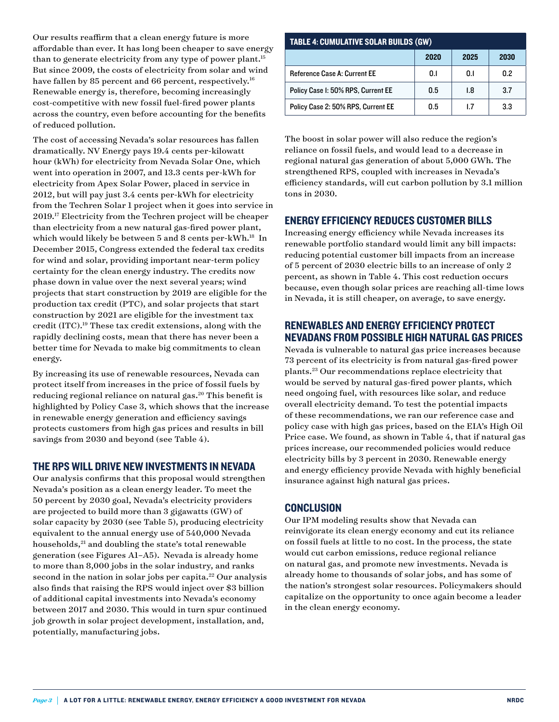Our results reaffirm that a clean energy future is more affordable than ever. It has long been cheaper to save energy than to generate electricity from any type of power plant.<sup>15</sup> But since 2009, the costs of electricity from solar and wind have fallen by 85 percent and 66 percent, respectively.<sup>16</sup> Renewable energy is, therefore, becoming increasingly cost-competitive with new fossil fuel-fired power plants across the country, even before accounting for the benefits of reduced pollution.

The cost of accessing Nevada's solar resources has fallen dramatically. NV Energy pays 19.4 cents per-kilowatt hour (kWh) for electricity from Nevada Solar One, which went into operation in 2007, and 13.3 cents per-kWh for electricity from Apex Solar Power, placed in service in 2012, but will pay just 3.4 cents per-kWh for electricity from the Techren Solar 1 project when it goes into service in 2019.17 Electricity from the Techren project will be cheaper than electricity from a new natural gas-fired power plant, which would likely be between 5 and 8 cents per-kWh.<sup>18</sup> In December 2015, Congress extended the federal tax credits for wind and solar, providing important near-term policy certainty for the clean energy industry. The credits now phase down in value over the next several years; wind projects that start construction by 2019 are eligible for the production tax credit (PTC), and solar projects that start construction by 2021 are eligible for the investment tax credit (ITC).19 These tax credit extensions, along with the rapidly declining costs, mean that there has never been a better time for Nevada to make big commitments to clean energy.

By increasing its use of renewable resources, Nevada can protect itself from increases in the price of fossil fuels by reducing regional reliance on natural gas.<sup>20</sup> This benefit is highlighted by Policy Case 3, which shows that the increase in renewable energy generation and efficiency savings protects customers from high gas prices and results in bill savings from 2030 and beyond (see Table 4).

#### THE RPS WILL DRIVE NEW INVESTMENTS IN NEVADA

Our analysis confirms that this proposal would strengthen Nevada's position as a clean energy leader. To meet the 50 percent by 2030 goal, Nevada's electricity providers are projected to build more than 3 gigawatts (GW) of solar capacity by 2030 (see Table 5), producing electricity equivalent to the annual energy use of 540,000 Nevada households,<sup>21</sup> and doubling the state's total renewable generation (see Figures A1–A5). Nevada is already home to more than 8,000 jobs in the solar industry, and ranks second in the nation in solar jobs per capita.<sup>22</sup> Our analysis also finds that raising the RPS would inject over \$3 billion of additional capital investments into Nevada's economy between 2017 and 2030. This would in turn spur continued job growth in solar project development, installation, and, potentially, manufacturing jobs.

| <b>TABLE 4: CUMULATIVE SOLAR BUILDS (GW)</b> |      |      |      |  |  |
|----------------------------------------------|------|------|------|--|--|
|                                              | 2020 | 2025 | 2030 |  |  |
| <b>Reference Case A: Current EE</b>          | 0.1  | 0.1  | 0.2  |  |  |
| Policy Case I: 50% RPS, Current EE           | 0.5  | 1.8  | 3.7  |  |  |
| Policy Case 2: 50% RPS, Current EE           | 0.5  | 17   | 3.3  |  |  |

The boost in solar power will also reduce the region's reliance on fossil fuels, and would lead to a decrease in regional natural gas generation of about 5,000 GWh. The strengthened RPS, coupled with increases in Nevada's efficiency standards, will cut carbon pollution by 3.1 million tons in 2030.

## ENERGY EFFICIENCY REDUCES CUSTOMER BILLS

Increasing energy efficiency while Nevada increases its renewable portfolio standard would limit any bill impacts: reducing potential customer bill impacts from an increase of 5 percent of 2030 electric bills to an increase of only 2 percent, as shown in Table 4. This cost reduction occurs because, even though solar prices are reaching all-time lows in Nevada, it is still cheaper, on average, to save energy.

## RENEWABLES AND ENERGY EFFICIENCY PROTECT NEVADANS FROM POSSIBLE HIGH NATURAL GAS PRICES

Nevada is vulnerable to natural gas price increases because 73 percent of its electricity is from natural gas-fired power plants.23 Our recommendations replace electricity that would be served by natural gas-fired power plants, which need ongoing fuel, with resources like solar, and reduce overall electricity demand. To test the potential impacts of these recommendations, we ran our reference case and policy case with high gas prices, based on the EIA's High Oil Price case. We found, as shown in Table 4, that if natural gas prices increase, our recommended policies would reduce electricity bills by 3 percent in 2030. Renewable energy and energy efficiency provide Nevada with highly beneficial insurance against high natural gas prices.

## **CONCLUSION**

Our IPM modeling results show that Nevada can reinvigorate its clean energy economy and cut its reliance on fossil fuels at little to no cost. In the process, the state would cut carbon emissions, reduce regional reliance on natural gas, and promote new investments. Nevada is already home to thousands of solar jobs, and has some of the nation's strongest solar resources. Policymakers should capitalize on the opportunity to once again become a leader in the clean energy economy.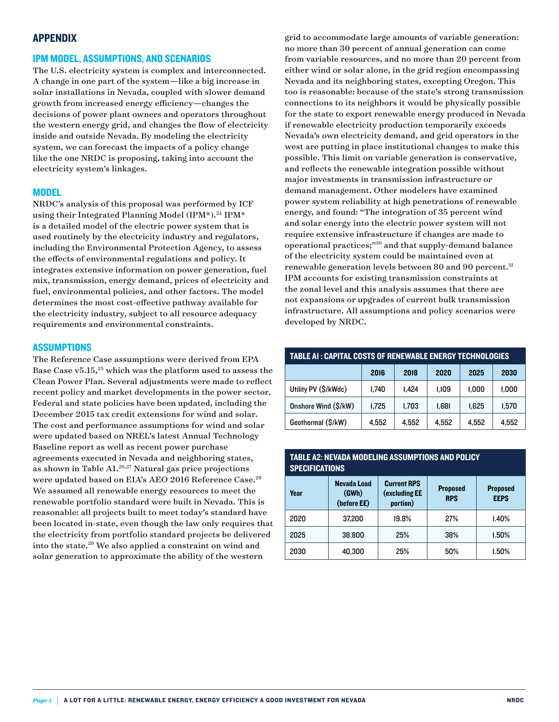#### APPENDIX

## IPM MODEL, ASSUMPTIONS, AND SCENARIOS

The U.S. electricity system is complex and interconnected. A change in one part of the system—like a big increase in solar installations in Nevada, coupled with slower demand growth from increased energy efficiency—changes the decisions of power plant owners and operators throughout the western energy grid, and changes the flow of electricity inside and outside Nevada. By modeling the electricity system, we can forecast the impacts of a policy change like the one NRDC is proposing, taking into account the electricity system's linkages.

#### MODEL

NRDC's analysis of this proposal was performed by ICF using their Integrated Planning Model (IPM®).<sup>24</sup> IPM® is a detailed model of the electric power system that is used routinely by the electricity industry and regulators, including the Environmental Protection Agency, to assess the effects of environmental regulations and policy. It integrates extensive information on power generation, fuel mix, transmission, energy demand, prices of electricity and fuel, environmental policies, and other factors. The model determines the most cost-effective pathway available for the electricity industry, subject to all resource adequacy requirements and environmental constraints.

#### **ASSUMPTIONS**

The Reference Case assumptions were derived from EPA Base Case  $v5.15$ ,<sup>25</sup> which was the platform used to assess the Clean Power Plan. Several adjustments were made to reflect recent policy and market developments in the power sector. Federal and state policies have been updated, including the December 2015 tax credit extensions for wind and solar. The cost and performance assumptions for wind and solar were updated based on NREL's latest Annual Technology Baseline report as well as recent power purchase agreements executed in Nevada and neighboring states, as shown in Table  $A1^{26,27}$  Natural gas price projections were updated based on EIA's AEO 2016 Reference Case.<sup>28</sup> We assumed all renewable energy resources to meet the renewable portfolio standard were built in Nevada. This is reasonable: all projects built to meet today's standard have been located in-state, even though the law only requires that the electricity from portfolio standard projects be delivered into the state.29 We also applied a constraint on wind and solar generation to approximate the ability of the western

grid to accommodate large amounts of variable generation: no more than 30 percent of annual generation can come from variable resources, and no more than 20 percent from either wind or solar alone, in the grid region encompassing Nevada and its neighboring states, excepting Oregon. This too is reasonable: because of the state's strong transmission connections to its neighbors it would be physically possible for the state to export renewable energy produced in Nevada if renewable electricity production temporarily exceeds Nevada's own electricity demand, and grid operators in the west are putting in place institutional changes to make this possible. This limit on variable generation is conservative, and reflects the renewable integration possible without major investments in transmission infrastructure or demand management. Other modelers have examined power system reliability at high penetrations of renewable energy, and found: "The integration of 35 percent wind and solar energy into the electric power system will not require extensive infrastructure if changes are made to operational practices;"30 and that supply-demand balance of the electricity system could be maintained even at renewable generation levels between 80 and 90 percent.<sup>31</sup> IPM accounts for existing transmission constraints at the zonal level and this analysis assumes that there are not expansions or upgrades of current bulk transmission infrastructure. All assumptions and policy scenarios were developed by NRDC.

| TABLE AI : CAPITAL COSTS OF RENEWABLE ENERGY TECHNOLOGIES |       |       |       |       |       |
|-----------------------------------------------------------|-------|-------|-------|-------|-------|
|                                                           | 2016  | 2018  | 2020  | 2025  | 2030  |
| Utility PV (\$/kWdc)                                      | 1,740 | 1.424 | 1.109 | 1,000 | 1,000 |
| Onshore Wind (\$/kW)                                      | 1.725 | 1,703 | 1,681 | 1,625 | 1,570 |
| Geothermal (\$/kW)                                        | 4,552 | 4,552 | 4,552 | 4,552 | 4,552 |

#### TABLE A2: NEVADA MODELING ASSUMPTIONS AND POLICY **SPECIFICATIONS**

| Year | Nevada Load<br>(GWh)<br>(before EE) | <b>Current RPS</b><br>(excluding EE<br>portion) | <b>Proposed</b><br><b>RPS</b> | <b>Proposed</b><br><b>EEPS</b> |
|------|-------------------------------------|-------------------------------------------------|-------------------------------|--------------------------------|
| 2020 | 37,200                              | 19.8%                                           | 27%                           | 1.40%                          |
| 2025 | 38,800                              | 25%                                             | 38%                           | 1.50%                          |
| 2030 | 40,300                              | 25%                                             | 50%                           | 1.50%                          |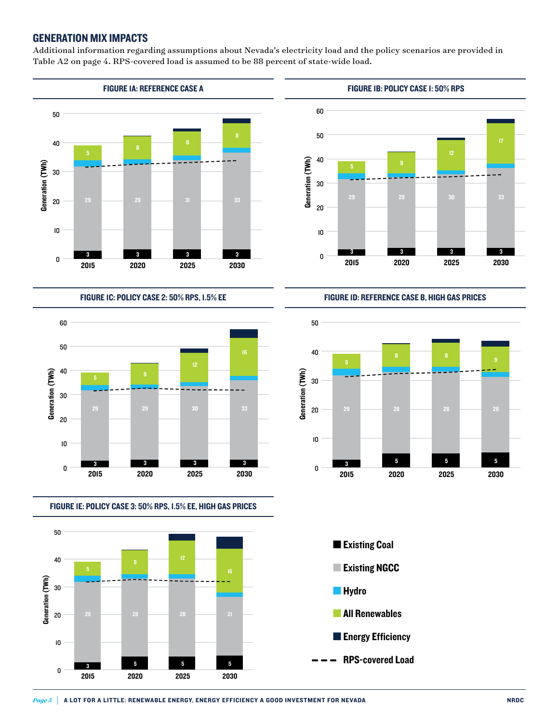#### GENERATION MIX IMPACTS

Additional information regarding assumptions about Nevada's electricity load and the policy scenarios are provided in Table A2 on page 4. RPS-covered load is assumed to be 88 percent of state-wide load.



FIGURE 1C: POLICY CASE 2: 50% RPS, 1.5% EE Figure 1C: Policy Case 2: 50% RPS, 1.5% EE



FIGURE 1E: POLICY CASE 3: 50% RPS, 1.5% EE, HIGH GAS PRICES Figure 1E: Policy Case 3: 50% RPS, 1.5% EE, High Gas Prices





FIGURE 1D: REFERENCE CASE B, HIGH GAS PRICES Figure 1D: Reference Case B, High Gas Prices





■ Operation in 2017